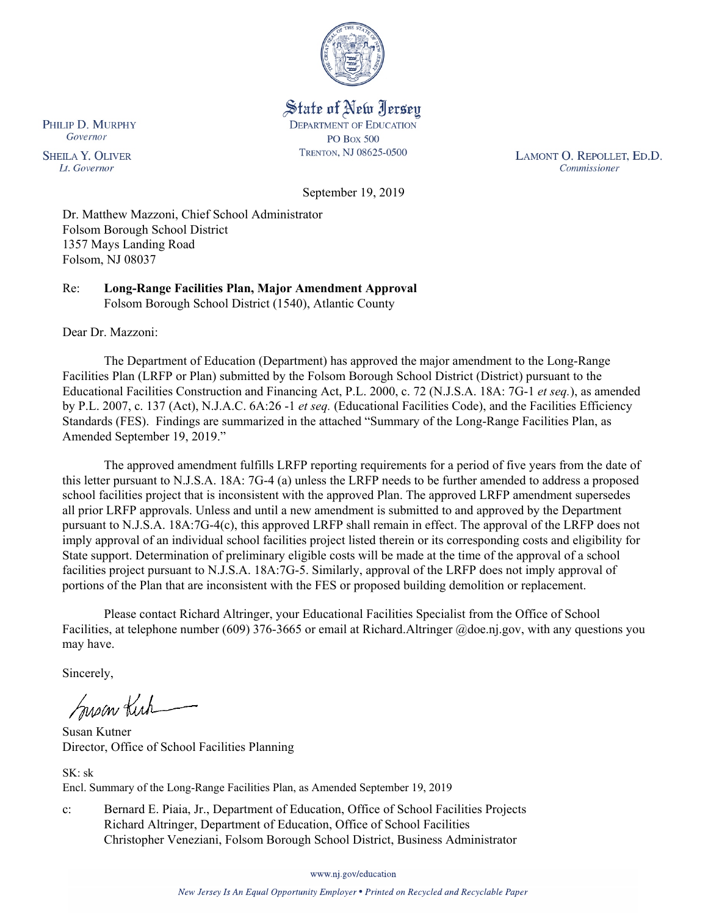

State of New Jersey **DEPARTMENT OF EDUCATION PO Box 500** TRENTON, NJ 08625-0500

LAMONT O. REPOLLET, ED.D. Commissioner

September 19, 2019

Dr. Matthew Mazzoni, Chief School Administrator Folsom Borough School District 1357 Mays Landing Road Folsom, NJ 08037

Re: **Long-Range Facilities Plan, Major Amendment Approval** Folsom Borough School District (1540), Atlantic County

Dear Dr. Mazzoni:

The Department of Education (Department) has approved the major amendment to the Long-Range Facilities Plan (LRFP or Plan) submitted by the Folsom Borough School District (District) pursuant to the Educational Facilities Construction and Financing Act, P.L. 2000, c. 72 (N.J.S.A. 18A: 7G-1 *et seq.*), as amended by P.L. 2007, c. 137 (Act), N.J.A.C. 6A:26 -1 *et seq.* (Educational Facilities Code), and the Facilities Efficiency Standards (FES). Findings are summarized in the attached "Summary of the Long-Range Facilities Plan, as Amended September 19, 2019."

The approved amendment fulfills LRFP reporting requirements for a period of five years from the date of this letter pursuant to N.J.S.A. 18A: 7G-4 (a) unless the LRFP needs to be further amended to address a proposed school facilities project that is inconsistent with the approved Plan. The approved LRFP amendment supersedes all prior LRFP approvals. Unless and until a new amendment is submitted to and approved by the Department pursuant to N.J.S.A. 18A:7G-4(c), this approved LRFP shall remain in effect. The approval of the LRFP does not imply approval of an individual school facilities project listed therein or its corresponding costs and eligibility for State support. Determination of preliminary eligible costs will be made at the time of the approval of a school facilities project pursuant to N.J.S.A. 18A:7G-5. Similarly, approval of the LRFP does not imply approval of portions of the Plan that are inconsistent with the FES or proposed building demolition or replacement.

Please contact Richard Altringer, your Educational Facilities Specialist from the Office of School Facilities, at telephone number (609) 376-3665 or email at Richard.Altringer @doe.nj.gov, with any questions you may have.

Sincerely,

Susan Kich

Susan Kutner Director, Office of School Facilities Planning

 $SK \cdot sk$ Encl. Summary of the Long-Range Facilities Plan, as Amended September 19, 2019

c: Bernard E. Piaia, Jr., Department of Education, Office of School Facilities Projects Richard Altringer, Department of Education, Office of School Facilities Christopher Veneziani, Folsom Borough School District, Business Administrator

www.nj.gov/education

New Jersey Is An Equal Opportunity Employer . Printed on Recycled and Recyclable Paper

PHILIP D. MURPHY Governor

**SHEILA Y. OLIVER** Lt. Governor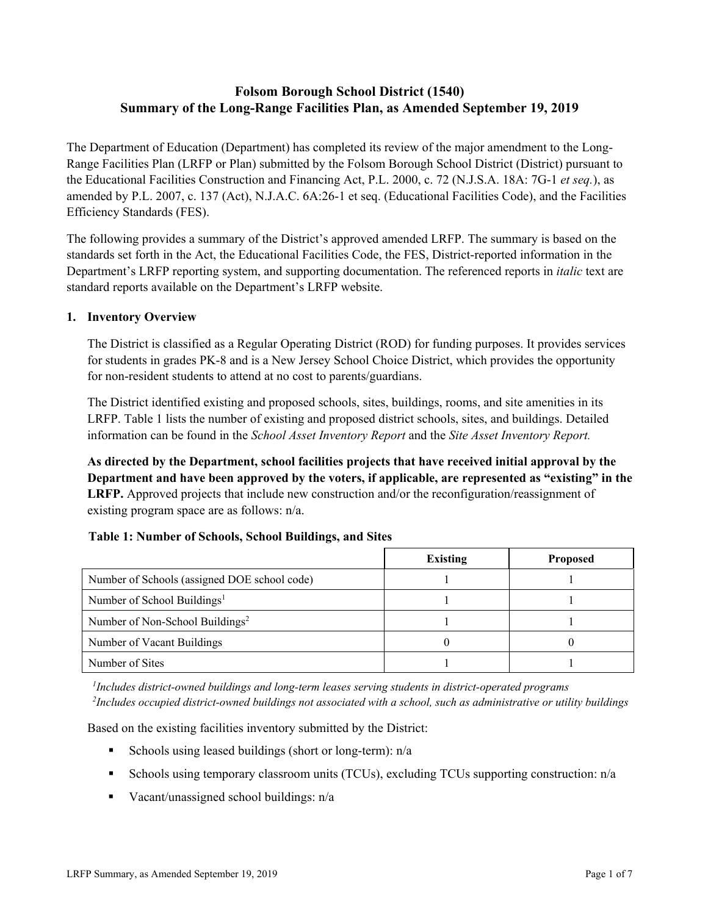# **Folsom Borough School District (1540) Summary of the Long-Range Facilities Plan, as Amended September 19, 2019**

The Department of Education (Department) has completed its review of the major amendment to the Long-Range Facilities Plan (LRFP or Plan) submitted by the Folsom Borough School District (District) pursuant to the Educational Facilities Construction and Financing Act, P.L. 2000, c. 72 (N.J.S.A. 18A: 7G-1 *et seq.*), as amended by P.L. 2007, c. 137 (Act), N.J.A.C. 6A:26-1 et seq. (Educational Facilities Code), and the Facilities Efficiency Standards (FES).

The following provides a summary of the District's approved amended LRFP. The summary is based on the standards set forth in the Act, the Educational Facilities Code, the FES, District-reported information in the Department's LRFP reporting system, and supporting documentation. The referenced reports in *italic* text are standard reports available on the Department's LRFP website.

### **1. Inventory Overview**

The District is classified as a Regular Operating District (ROD) for funding purposes. It provides services for students in grades PK-8 and is a New Jersey School Choice District, which provides the opportunity for non-resident students to attend at no cost to parents/guardians.

The District identified existing and proposed schools, sites, buildings, rooms, and site amenities in its LRFP. Table 1 lists the number of existing and proposed district schools, sites, and buildings. Detailed information can be found in the *School Asset Inventory Report* and the *Site Asset Inventory Report.*

**As directed by the Department, school facilities projects that have received initial approval by the Department and have been approved by the voters, if applicable, are represented as "existing" in the LRFP.** Approved projects that include new construction and/or the reconfiguration/reassignment of existing program space are as follows: n/a.

### **Table 1: Number of Schools, School Buildings, and Sites**

|                                              | <b>Existing</b> | <b>Proposed</b> |
|----------------------------------------------|-----------------|-----------------|
| Number of Schools (assigned DOE school code) |                 |                 |
| Number of School Buildings <sup>1</sup>      |                 |                 |
| Number of Non-School Buildings <sup>2</sup>  |                 |                 |
| Number of Vacant Buildings                   |                 |                 |
| Number of Sites                              |                 |                 |

*1 Includes district-owned buildings and long-term leases serving students in district-operated programs 2 Includes occupied district-owned buildings not associated with a school, such as administrative or utility buildings*

Based on the existing facilities inventory submitted by the District:

- Schools using leased buildings (short or long-term):  $n/a$
- Schools using temporary classroom units (TCUs), excluding TCUs supporting construction:  $n/a$
- Vacant/unassigned school buildings:  $n/a$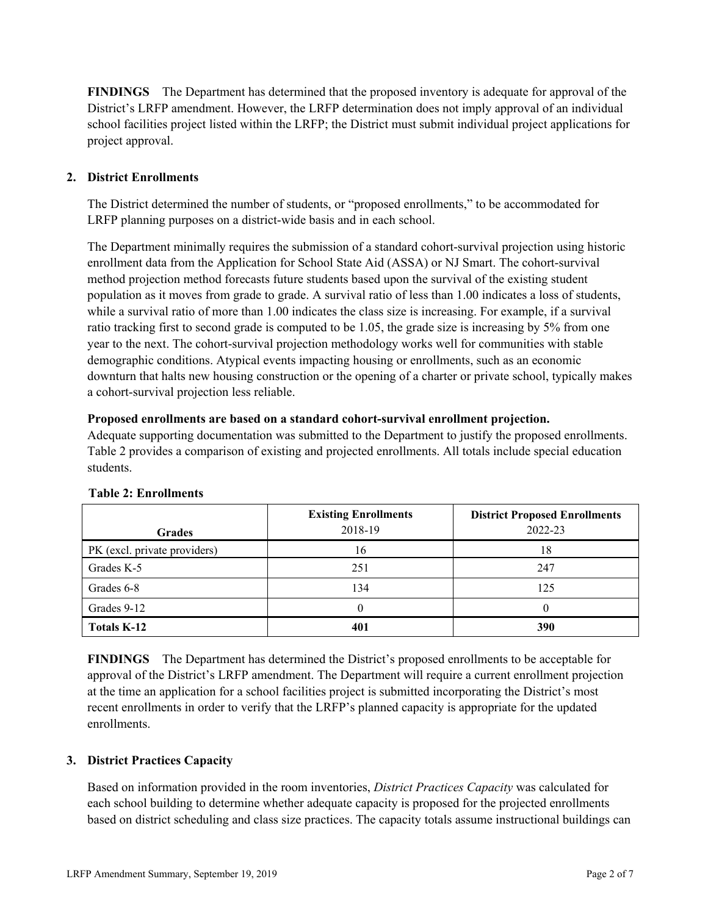**FINDINGS** The Department has determined that the proposed inventory is adequate for approval of the District's LRFP amendment. However, the LRFP determination does not imply approval of an individual school facilities project listed within the LRFP; the District must submit individual project applications for project approval.

# **2. District Enrollments**

The District determined the number of students, or "proposed enrollments," to be accommodated for LRFP planning purposes on a district-wide basis and in each school.

The Department minimally requires the submission of a standard cohort-survival projection using historic enrollment data from the Application for School State Aid (ASSA) or NJ Smart. The cohort-survival method projection method forecasts future students based upon the survival of the existing student population as it moves from grade to grade. A survival ratio of less than 1.00 indicates a loss of students, while a survival ratio of more than 1.00 indicates the class size is increasing. For example, if a survival ratio tracking first to second grade is computed to be 1.05, the grade size is increasing by 5% from one year to the next. The cohort-survival projection methodology works well for communities with stable demographic conditions. Atypical events impacting housing or enrollments, such as an economic downturn that halts new housing construction or the opening of a charter or private school, typically makes a cohort-survival projection less reliable.

### **Proposed enrollments are based on a standard cohort-survival enrollment projection.**

Adequate supporting documentation was submitted to the Department to justify the proposed enrollments. Table 2 provides a comparison of existing and projected enrollments. All totals include special education students.

|                              | <b>Existing Enrollments</b><br>2018-19 | <b>District Proposed Enrollments</b><br>2022-23 |
|------------------------------|----------------------------------------|-------------------------------------------------|
| <b>Grades</b>                |                                        |                                                 |
| PK (excl. private providers) | 16                                     | 18                                              |
| Grades K-5                   | 251                                    | 247                                             |
| Grades 6-8                   | 134                                    | 125                                             |
| Grades 9-12                  |                                        |                                                 |
| <b>Totals K-12</b>           | 401                                    | 390                                             |

### **Table 2: Enrollments**

**FINDINGS** The Department has determined the District's proposed enrollments to be acceptable for approval of the District's LRFP amendment. The Department will require a current enrollment projection at the time an application for a school facilities project is submitted incorporating the District's most recent enrollments in order to verify that the LRFP's planned capacity is appropriate for the updated enrollments.

### **3. District Practices Capacity**

Based on information provided in the room inventories, *District Practices Capacity* was calculated for each school building to determine whether adequate capacity is proposed for the projected enrollments based on district scheduling and class size practices. The capacity totals assume instructional buildings can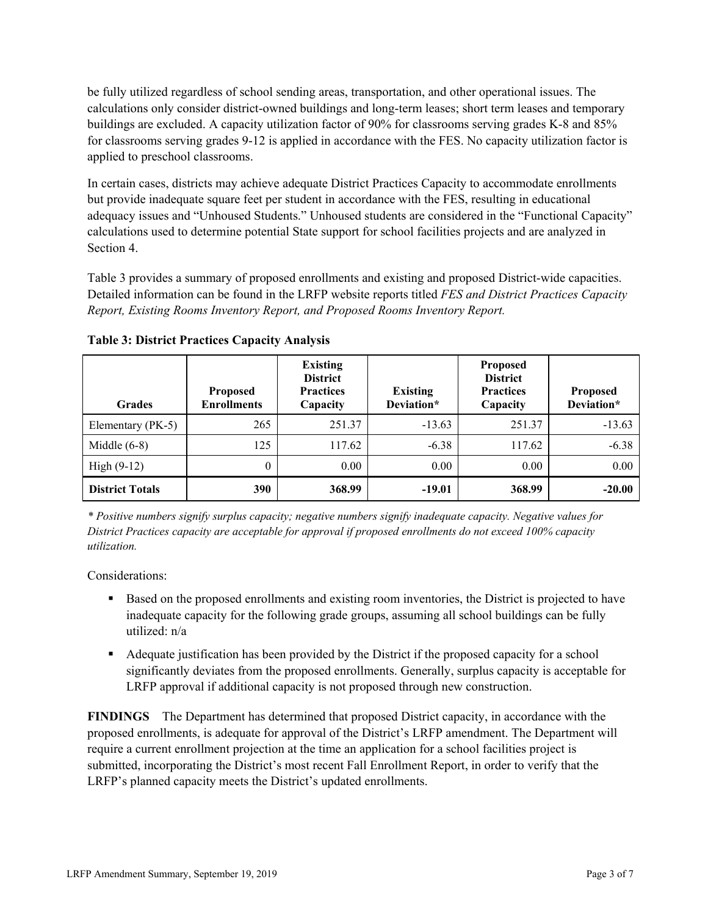be fully utilized regardless of school sending areas, transportation, and other operational issues. The calculations only consider district-owned buildings and long-term leases; short term leases and temporary buildings are excluded. A capacity utilization factor of 90% for classrooms serving grades K-8 and 85% for classrooms serving grades 9-12 is applied in accordance with the FES. No capacity utilization factor is applied to preschool classrooms.

In certain cases, districts may achieve adequate District Practices Capacity to accommodate enrollments but provide inadequate square feet per student in accordance with the FES, resulting in educational adequacy issues and "Unhoused Students." Unhoused students are considered in the "Functional Capacity" calculations used to determine potential State support for school facilities projects and are analyzed in Section 4.

Table 3 provides a summary of proposed enrollments and existing and proposed District-wide capacities. Detailed information can be found in the LRFP website reports titled *FES and District Practices Capacity Report, Existing Rooms Inventory Report, and Proposed Rooms Inventory Report.*

| <b>Grades</b>          | <b>Proposed</b><br><b>Enrollments</b> | <b>Existing</b><br><b>District</b><br><b>Practices</b><br>Capacity | <b>Existing</b><br>Deviation* | <b>Proposed</b><br><b>District</b><br><b>Practices</b><br>Capacity | <b>Proposed</b><br>Deviation* |
|------------------------|---------------------------------------|--------------------------------------------------------------------|-------------------------------|--------------------------------------------------------------------|-------------------------------|
| Elementary (PK-5)      | 265                                   | 251.37                                                             | $-13.63$                      | 251.37                                                             | $-13.63$                      |
| Middle $(6-8)$         | 125                                   | 117.62                                                             | $-6.38$                       | 117.62                                                             | $-6.38$                       |
| High $(9-12)$          | $\theta$                              | 0.00                                                               | 0.00                          | 0.00                                                               | 0.00                          |
| <b>District Totals</b> | 390                                   | 368.99                                                             | $-19.01$                      | 368.99                                                             | $-20.00$                      |

**Table 3: District Practices Capacity Analysis**

*\* Positive numbers signify surplus capacity; negative numbers signify inadequate capacity. Negative values for District Practices capacity are acceptable for approval if proposed enrollments do not exceed 100% capacity utilization.*

Considerations:

- Based on the proposed enrollments and existing room inventories, the District is projected to have inadequate capacity for the following grade groups, assuming all school buildings can be fully utilized: n/a
- Adequate justification has been provided by the District if the proposed capacity for a school significantly deviates from the proposed enrollments. Generally, surplus capacity is acceptable for LRFP approval if additional capacity is not proposed through new construction.

**FINDINGS**The Department has determined that proposed District capacity, in accordance with the proposed enrollments, is adequate for approval of the District's LRFP amendment. The Department will require a current enrollment projection at the time an application for a school facilities project is submitted, incorporating the District's most recent Fall Enrollment Report, in order to verify that the LRFP's planned capacity meets the District's updated enrollments.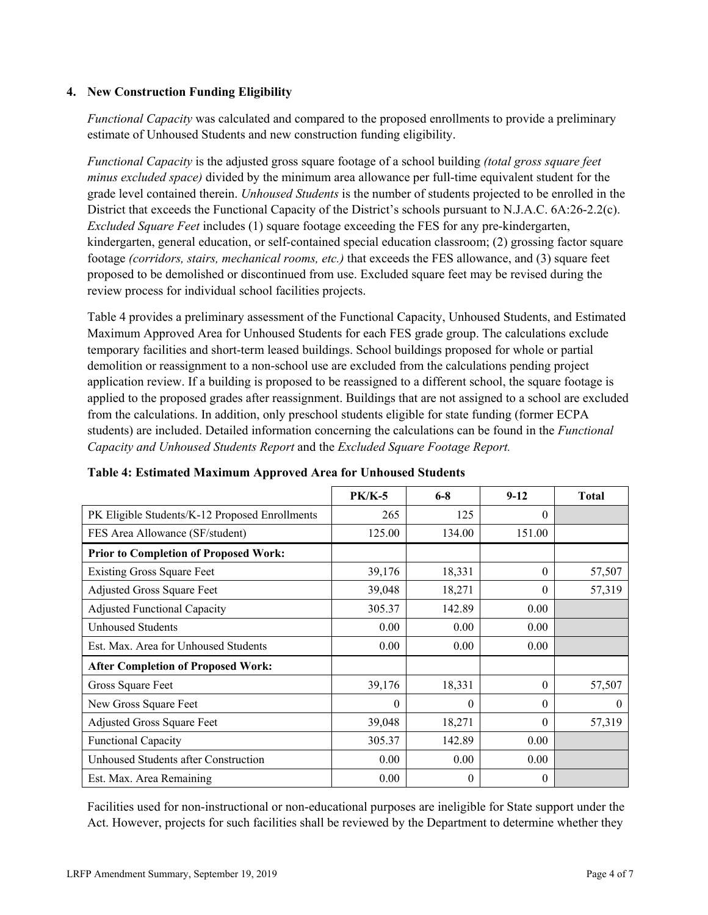### **4. New Construction Funding Eligibility**

*Functional Capacity* was calculated and compared to the proposed enrollments to provide a preliminary estimate of Unhoused Students and new construction funding eligibility.

*Functional Capacity* is the adjusted gross square footage of a school building *(total gross square feet minus excluded space)* divided by the minimum area allowance per full-time equivalent student for the grade level contained therein. *Unhoused Students* is the number of students projected to be enrolled in the District that exceeds the Functional Capacity of the District's schools pursuant to N.J.A.C. 6A:26-2.2(c). *Excluded Square Feet* includes (1) square footage exceeding the FES for any pre-kindergarten, kindergarten, general education, or self-contained special education classroom; (2) grossing factor square footage *(corridors, stairs, mechanical rooms, etc.)* that exceeds the FES allowance, and (3) square feet proposed to be demolished or discontinued from use. Excluded square feet may be revised during the review process for individual school facilities projects.

Table 4 provides a preliminary assessment of the Functional Capacity, Unhoused Students, and Estimated Maximum Approved Area for Unhoused Students for each FES grade group. The calculations exclude temporary facilities and short-term leased buildings. School buildings proposed for whole or partial demolition or reassignment to a non-school use are excluded from the calculations pending project application review. If a building is proposed to be reassigned to a different school, the square footage is applied to the proposed grades after reassignment. Buildings that are not assigned to a school are excluded from the calculations. In addition, only preschool students eligible for state funding (former ECPA students) are included. Detailed information concerning the calculations can be found in the *Functional Capacity and Unhoused Students Report* and the *Excluded Square Footage Report.*

|                                                | <b>PK/K-5</b> | $6 - 8$  | $9-12$   | <b>Total</b> |
|------------------------------------------------|---------------|----------|----------|--------------|
| PK Eligible Students/K-12 Proposed Enrollments | 265           | 125      | $\Omega$ |              |
| FES Area Allowance (SF/student)                | 125.00        | 134.00   | 151.00   |              |
| <b>Prior to Completion of Proposed Work:</b>   |               |          |          |              |
| <b>Existing Gross Square Feet</b>              | 39,176        | 18,331   | $\theta$ | 57,507       |
| Adjusted Gross Square Feet                     | 39,048        | 18,271   | $\theta$ | 57,319       |
| <b>Adjusted Functional Capacity</b>            | 305.37        | 142.89   | 0.00     |              |
| Unhoused Students                              | 0.00          | 0.00     | 0.00     |              |
| Est. Max. Area for Unhoused Students           | 0.00          | 0.00     | 0.00     |              |
| <b>After Completion of Proposed Work:</b>      |               |          |          |              |
| Gross Square Feet                              | 39,176        | 18,331   | $\Omega$ | 57,507       |
| New Gross Square Feet                          | 0             | $\theta$ | $\theta$ | $\theta$     |
| <b>Adjusted Gross Square Feet</b>              | 39,048        | 18,271   | $\theta$ | 57,319       |
| Functional Capacity                            | 305.37        | 142.89   | 0.00     |              |
| Unhoused Students after Construction           | 0.00          | 0.00     | 0.00     |              |
| Est. Max. Area Remaining                       | 0.00          | $\theta$ | $\Omega$ |              |

### **Table 4: Estimated Maximum Approved Area for Unhoused Students**

Facilities used for non-instructional or non-educational purposes are ineligible for State support under the Act. However, projects for such facilities shall be reviewed by the Department to determine whether they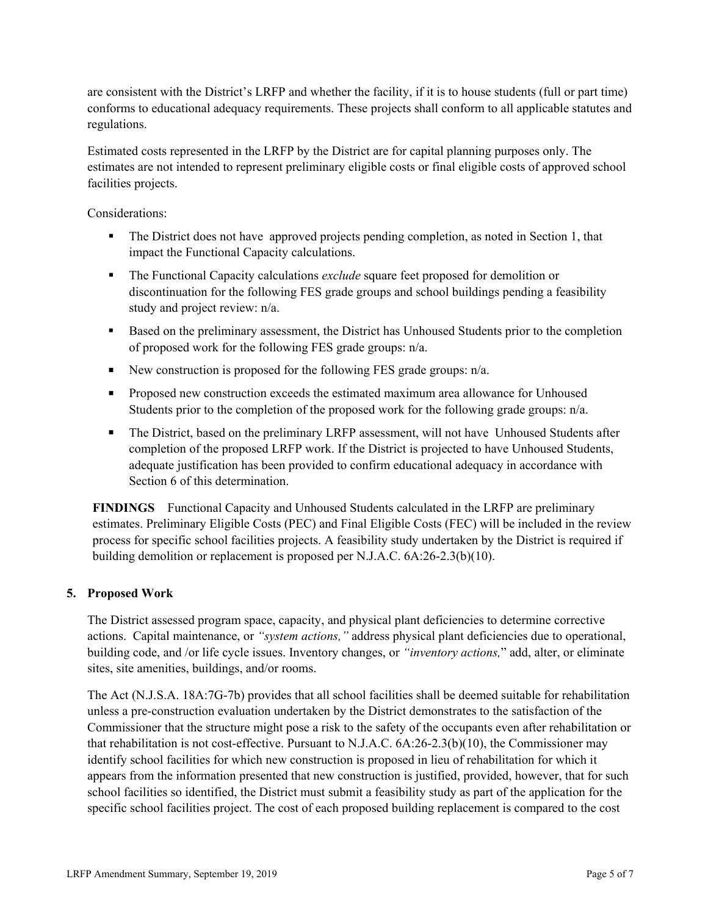are consistent with the District's LRFP and whether the facility, if it is to house students (full or part time) conforms to educational adequacy requirements. These projects shall conform to all applicable statutes and regulations.

Estimated costs represented in the LRFP by the District are for capital planning purposes only. The estimates are not intended to represent preliminary eligible costs or final eligible costs of approved school facilities projects.

Considerations:

- The District does not have approved projects pending completion, as noted in Section 1, that impact the Functional Capacity calculations.
- The Functional Capacity calculations *exclude* square feet proposed for demolition or discontinuation for the following FES grade groups and school buildings pending a feasibility study and project review: n/a.
- Based on the preliminary assessment, the District has Unhoused Students prior to the completion of proposed work for the following FES grade groups: n/a.
- New construction is proposed for the following FES grade groups:  $n/a$ .
- **Proposed new construction exceeds the estimated maximum area allowance for Unhoused** Students prior to the completion of the proposed work for the following grade groups: n/a.
- The District, based on the preliminary LRFP assessment, will not have Unhoused Students after completion of the proposed LRFP work. If the District is projected to have Unhoused Students, adequate justification has been provided to confirm educational adequacy in accordance with Section 6 of this determination.

**FINDINGS** Functional Capacity and Unhoused Students calculated in the LRFP are preliminary estimates. Preliminary Eligible Costs (PEC) and Final Eligible Costs (FEC) will be included in the review process for specific school facilities projects. A feasibility study undertaken by the District is required if building demolition or replacement is proposed per N.J.A.C. 6A:26-2.3(b)(10).

### **5. Proposed Work**

The District assessed program space, capacity, and physical plant deficiencies to determine corrective actions. Capital maintenance, or *"system actions,"* address physical plant deficiencies due to operational, building code, and /or life cycle issues. Inventory changes, or *"inventory actions,*" add, alter, or eliminate sites, site amenities, buildings, and/or rooms.

The Act (N.J.S.A. 18A:7G-7b) provides that all school facilities shall be deemed suitable for rehabilitation unless a pre-construction evaluation undertaken by the District demonstrates to the satisfaction of the Commissioner that the structure might pose a risk to the safety of the occupants even after rehabilitation or that rehabilitation is not cost-effective. Pursuant to N.J.A.C. 6A:26-2.3(b)(10), the Commissioner may identify school facilities for which new construction is proposed in lieu of rehabilitation for which it appears from the information presented that new construction is justified, provided, however, that for such school facilities so identified, the District must submit a feasibility study as part of the application for the specific school facilities project. The cost of each proposed building replacement is compared to the cost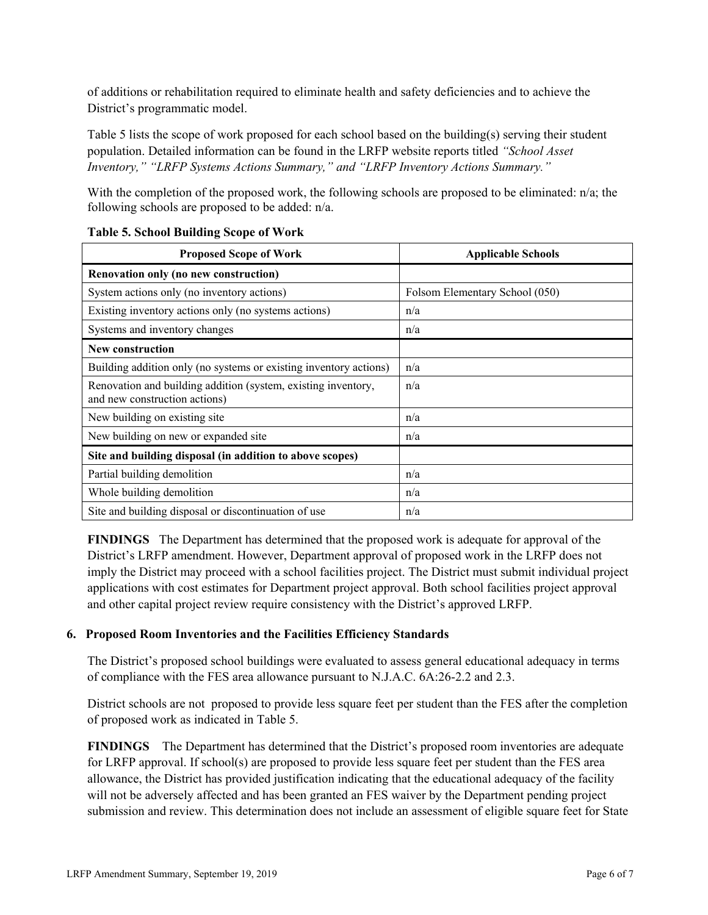of additions or rehabilitation required to eliminate health and safety deficiencies and to achieve the District's programmatic model.

Table 5 lists the scope of work proposed for each school based on the building(s) serving their student population. Detailed information can be found in the LRFP website reports titled *"School Asset Inventory," "LRFP Systems Actions Summary," and "LRFP Inventory Actions Summary."*

With the completion of the proposed work, the following schools are proposed to be eliminated: n/a; the following schools are proposed to be added: n/a.

| <b>Proposed Scope of Work</b>                                                                  | <b>Applicable Schools</b>      |
|------------------------------------------------------------------------------------------------|--------------------------------|
| Renovation only (no new construction)                                                          |                                |
| System actions only (no inventory actions)                                                     | Folsom Elementary School (050) |
| Existing inventory actions only (no systems actions)                                           | n/a                            |
| Systems and inventory changes                                                                  | n/a                            |
| <b>New construction</b>                                                                        |                                |
| Building addition only (no systems or existing inventory actions)                              | n/a                            |
| Renovation and building addition (system, existing inventory,<br>and new construction actions) | n/a                            |
| New building on existing site                                                                  | n/a                            |
| New building on new or expanded site                                                           | n/a                            |
| Site and building disposal (in addition to above scopes)                                       |                                |
| Partial building demolition                                                                    | n/a                            |
| Whole building demolition                                                                      | n/a                            |
| Site and building disposal or discontinuation of use                                           | n/a                            |

### **Table 5. School Building Scope of Work**

**FINDINGS** The Department has determined that the proposed work is adequate for approval of the District's LRFP amendment. However, Department approval of proposed work in the LRFP does not imply the District may proceed with a school facilities project. The District must submit individual project applications with cost estimates for Department project approval. Both school facilities project approval and other capital project review require consistency with the District's approved LRFP.

# **6. Proposed Room Inventories and the Facilities Efficiency Standards**

The District's proposed school buildings were evaluated to assess general educational adequacy in terms of compliance with the FES area allowance pursuant to N.J.A.C. 6A:26-2.2 and 2.3.

District schools are not proposed to provide less square feet per student than the FES after the completion of proposed work as indicated in Table 5.

**FINDINGS** The Department has determined that the District's proposed room inventories are adequate for LRFP approval. If school(s) are proposed to provide less square feet per student than the FES area allowance, the District has provided justification indicating that the educational adequacy of the facility will not be adversely affected and has been granted an FES waiver by the Department pending project submission and review. This determination does not include an assessment of eligible square feet for State